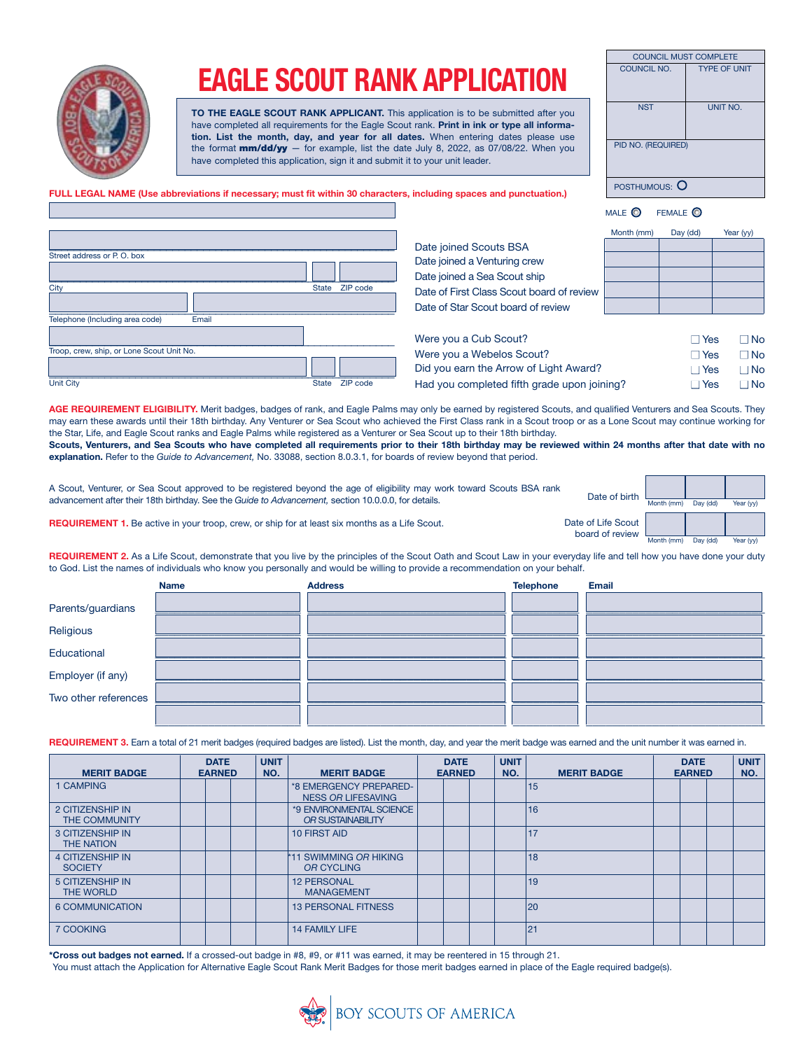

## EAGLE SCOUT RANK APPLICATION

TO THE EAGLE SCOUT RANK APPLICANT. This application is to be submitted after you have completed all requirements for the Eagle Scout rank. Print in ink or type all information. List the month, day, and year for all dates. When entering dates please use the format  $mm/dd/yy$  — for example, list the date July 8, 2022, as 07/08/22. When you have completed this application, sign it and submit it to your unit leader.

| <b>COUNCIL MUST COMPLETE</b> |                     |
|------------------------------|---------------------|
| COUNCIL NO.                  | <b>TYPE OF UNIT</b> |
| <b>NST</b>                   | UNIT NO.            |
| PID NO. (REQUIRED)           |                     |
| POSTHUMOUS:                  |                     |

FULL LEGAL NAME (Use abbreviations if necessary; must fit within 30 characters, including spaces and punctuation.)

| Street address or P.O. box                |              |          |
|-------------------------------------------|--------------|----------|
|                                           |              |          |
| City                                      | <b>State</b> | ZIP code |
|                                           |              |          |
| Telephone (Including area code)<br>Email  |              |          |
|                                           |              |          |
| Troop, crew, ship, or Lone Scout Unit No. |              |          |
|                                           |              |          |
| Unit City                                 | <b>State</b> | ZIP code |

Date joined Scouts BSA Date joined a Venturing crew Date joined a Sea Scout ship Date of First Class Scout board of review Date of Star Scout board of review

| Month (mm) | Day (dd) | Year (yy) |
|------------|----------|-----------|
|            |          |           |
|            |          |           |
|            |          |           |
|            |          |           |
|            |          |           |

MALE **O** FEMALE **O** 

| Were you a Cub Scout?                       | $\Box$ Yes | □ No      |
|---------------------------------------------|------------|-----------|
| Were you a Webelos Scout?                   | $\Box$ Yes | □ No      |
| Did you earn the Arrow of Light Award?      | $\Box$ Yes | ∩ No      |
| Had you completed fifth grade upon joining? | $\Box$ Yes | $\Box$ No |
|                                             |            |           |

AGE REQUIREMENT ELIGIBILITY. Merit badges, badges of rank, and Eagle Palms may only be earned by registered Scouts, and qualified Venturers and Sea Scouts. They may earn these awards until their 18th birthday. Any Venturer or Sea Scout who achieved the First Class rank in a Scout troop or as a Lone Scout may continue working for the Star, Life, and Eagle Scout ranks and Eagle Palms while registered as a Venturer or Sea Scout up to their 18th birthday.

Scouts, Venturers, and Sea Scouts who have completed all requirements prior to their 18th birthday may be reviewed within 24 months after that date with no explanation. Refer to the *Guide to Advancement,* No. 33088, section 8.0.3.1, for boards of review beyond that period.

| A Scout, Venturer, or Sea Scout approved to be registered beyond the age of eligibility may work toward Scouts BSA rank<br>advancement after their 18th birthday. See the Guide to Advancement, section 10.0.0.0, for details. | Date of birth                           | Month (mm) | Day (dd) | Year (vv) |
|--------------------------------------------------------------------------------------------------------------------------------------------------------------------------------------------------------------------------------|-----------------------------------------|------------|----------|-----------|
| <b>REQUIREMENT 1.</b> Be active in your troop, crew, or ship for at least six months as a Life Scout.                                                                                                                          | Date of Life Scout  <br>board of review | Month (mm) | Day (dd) | Year (vv) |

REQUIREMENT 2. As a Life Scout, demonstrate that you live by the principles of the Scout Oath and Scout Law in your everyday life and tell how you have done your duty to God. List the names of individuals who know you personally and would be willing to provide a recommendation on your behalf.

|                      | <b>Name</b> | <b>Address</b> | <b>Telephone</b> | <b>Email</b> |
|----------------------|-------------|----------------|------------------|--------------|
| Parents/guardians    |             |                |                  |              |
| Religious            |             |                |                  |              |
| Educational          |             |                |                  |              |
| Employer (if any)    |             |                |                  |              |
| Two other references |             |                |                  |              |
|                      |             |                |                  |              |
|                      |             |                |                  |              |

REQUIREMENT 3. Earn a total of 21 merit badges (required badges are listed). List the month, day, and year the merit badge was earned and the unit number it was earned in.

| <b>MERIT BADGE</b>                           | <b>DATE</b><br><b>EARNED</b> | <b>UNIT</b><br>NO. | <b>MERIT BADGE</b>                                  | <b>DATE</b><br><b>EARNED</b> |  |  |  |    |  |  |  |  |  |  |  |  |  |  |  |  |  |  |  |  |  |  |  |  |  |  |  |  |  |  |  |  |  |  |  |  |  |  |  |  |  |  |  |  |  |  |  |  |  |  |  |  |  |  |  |  |  | <b>MERIT BADGE</b> | <b>DATE</b><br><b>EARNED</b> | <b>UNIT</b><br>NO. |
|----------------------------------------------|------------------------------|--------------------|-----------------------------------------------------|------------------------------|--|--|--|----|--|--|--|--|--|--|--|--|--|--|--|--|--|--|--|--|--|--|--|--|--|--|--|--|--|--|--|--|--|--|--|--|--|--|--|--|--|--|--|--|--|--|--|--|--|--|--|--|--|--|--|--|--|--------------------|------------------------------|--------------------|
| 1 CAMPING                                    |                              |                    | *8 EMERGENCY PREPARED-<br><b>NESS OR LIFESAVING</b> |                              |  |  |  | 15 |  |  |  |  |  |  |  |  |  |  |  |  |  |  |  |  |  |  |  |  |  |  |  |  |  |  |  |  |  |  |  |  |  |  |  |  |  |  |  |  |  |  |  |  |  |  |  |  |  |  |  |  |  |                    |                              |                    |
| 2 CITIZENSHIP IN<br><b>THE COMMUNITY</b>     |                              |                    | *9 ENVIRONMENTAL SCIENCE<br>OR SUSTAINABILITY       |                              |  |  |  | 16 |  |  |  |  |  |  |  |  |  |  |  |  |  |  |  |  |  |  |  |  |  |  |  |  |  |  |  |  |  |  |  |  |  |  |  |  |  |  |  |  |  |  |  |  |  |  |  |  |  |  |  |  |  |                    |                              |                    |
| <b>3 CITIZENSHIP IN</b><br><b>THE NATION</b> |                              |                    | 10 FIRST AID                                        |                              |  |  |  | 17 |  |  |  |  |  |  |  |  |  |  |  |  |  |  |  |  |  |  |  |  |  |  |  |  |  |  |  |  |  |  |  |  |  |  |  |  |  |  |  |  |  |  |  |  |  |  |  |  |  |  |  |  |  |                    |                              |                    |
| <b>4 CITIZENSHIP IN</b><br><b>SOCIETY</b>    |                              |                    | <b>*11 SWIMMING OR HIKING</b><br>OR CYCLING         |                              |  |  |  | 18 |  |  |  |  |  |  |  |  |  |  |  |  |  |  |  |  |  |  |  |  |  |  |  |  |  |  |  |  |  |  |  |  |  |  |  |  |  |  |  |  |  |  |  |  |  |  |  |  |  |  |  |  |  |                    |                              |                    |
| <b>5 CITIZENSHIP IN</b><br>THE WORLD         |                              |                    | <b>12 PERSONAL</b><br><b>MANAGEMENT</b>             |                              |  |  |  | 19 |  |  |  |  |  |  |  |  |  |  |  |  |  |  |  |  |  |  |  |  |  |  |  |  |  |  |  |  |  |  |  |  |  |  |  |  |  |  |  |  |  |  |  |  |  |  |  |  |  |  |  |  |  |                    |                              |                    |
| 6 COMMUNICATION                              |                              |                    | <b>13 PERSONAL FITNESS</b>                          |                              |  |  |  | 20 |  |  |  |  |  |  |  |  |  |  |  |  |  |  |  |  |  |  |  |  |  |  |  |  |  |  |  |  |  |  |  |  |  |  |  |  |  |  |  |  |  |  |  |  |  |  |  |  |  |  |  |  |  |                    |                              |                    |
| 7 COOKING                                    |                              |                    | <b>14 FAMILY LIFE</b>                               |                              |  |  |  | 21 |  |  |  |  |  |  |  |  |  |  |  |  |  |  |  |  |  |  |  |  |  |  |  |  |  |  |  |  |  |  |  |  |  |  |  |  |  |  |  |  |  |  |  |  |  |  |  |  |  |  |  |  |  |                    |                              |                    |

\* Cross out badges not earned. If a crossed-out badge in #8, #9, or #11 was earned, it may be reentered in 15 through 21.

You must attach the Application for Alternative Eagle Scout Rank Merit Badges for those merit badges earned in place of the Eagle required badge(s).